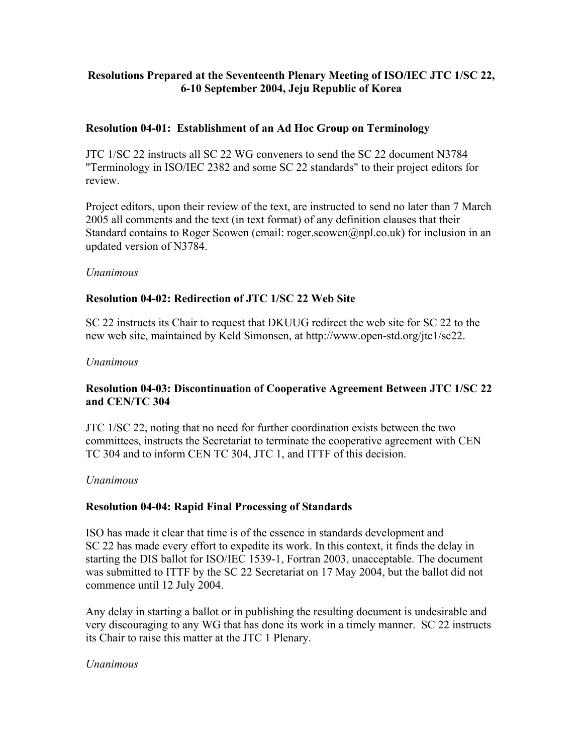# **Resolutions Prepared at the Seventeenth Plenary Meeting of ISO/IEC JTC 1/SC 22, 6-10 September 2004, Jeju Republic of Korea**

### **Resolution 04-01: Establishment of an Ad Hoc Group on Terminology**

JTC 1/SC 22 instructs all SC 22 WG conveners to send the SC 22 document N3784 "Terminology in ISO/IEC 2382 and some SC 22 standards" to their project editors for review.

Project editors, upon their review of the text, are instructed to send no later than 7 March 2005 all comments and the text (in text format) of any definition clauses that their Standard contains to Roger Scowen (email: roger.scowen@npl.co.uk) for inclusion in an updated version of N3784.

#### *Unanimous*

### **Resolution 04-02: Redirection of JTC 1/SC 22 Web Site**

SC 22 instructs its Chair to request that DKUUG redirect the web site for SC 22 to the new web site, maintained by Keld Simonsen, at http://www.open-std.org/jtc1/sc22.

#### *Unanimous*

### **Resolution 04-03: Discontinuation of Cooperative Agreement Between JTC 1/SC 22 and CEN/TC 304**

JTC 1/SC 22, noting that no need for further coordination exists between the two committees, instructs the Secretariat to terminate the cooperative agreement with CEN TC 304 and to inform CEN TC 304, JTC 1, and ITTF of this decision.

#### *Unanimous*

#### **Resolution 04-04: Rapid Final Processing of Standards**

ISO has made it clear that time is of the essence in standards development and SC 22 has made every effort to expedite its work. In this context, it finds the delay in starting the DIS ballot for ISO/IEC 1539-1, Fortran 2003, unacceptable. The document was submitted to ITTF by the SC 22 Secretariat on 17 May 2004, but the ballot did not commence until 12 July 2004.

Any delay in starting a ballot or in publishing the resulting document is undesirable and very discouraging to any WG that has done its work in a timely manner. SC 22 instructs its Chair to raise this matter at the JTC 1 Plenary.

#### *Unanimous*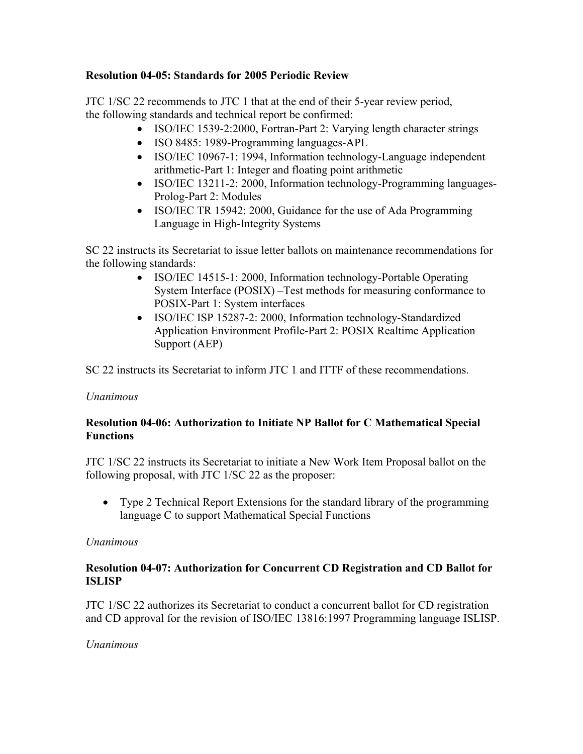# **Resolution 04-05: Standards for 2005 Periodic Review**

JTC 1/SC 22 recommends to JTC 1 that at the end of their 5-year review period, the following standards and technical report be confirmed:

- ISO/IEC 1539-2:2000, Fortran-Part 2: Varying length character strings
- ISO 8485: 1989-Programming languages-APL
- ISO/IEC 10967-1: 1994, Information technology-Language independent arithmetic-Part 1: Integer and floating point arithmetic
- ISO/IEC 13211-2: 2000, Information technology-Programming languages-Prolog-Part 2: Modules
- ISO/IEC TR 15942: 2000, Guidance for the use of Ada Programming Language in High-Integrity Systems

SC 22 instructs its Secretariat to issue letter ballots on maintenance recommendations for the following standards:

- ISO/IEC 14515-1: 2000, Information technology-Portable Operating System Interface (POSIX) –Test methods for measuring conformance to POSIX-Part 1: System interfaces
- ISO/IEC ISP 15287-2: 2000, Information technology-Standardized Application Environment Profile-Part 2: POSIX Realtime Application Support (AEP)

SC 22 instructs its Secretariat to inform JTC 1 and ITTF of these recommendations.

# *Unanimous*

# **Resolution 04-06: Authorization to Initiate NP Ballot for C Mathematical Special Functions**

JTC 1/SC 22 instructs its Secretariat to initiate a New Work Item Proposal ballot on the following proposal, with JTC 1/SC 22 as the proposer:

• Type 2 Technical Report Extensions for the standard library of the programming language C to support Mathematical Special Functions

# *Unanimous*

# **Resolution 04-07: Authorization for Concurrent CD Registration and CD Ballot for ISLISP**

JTC 1/SC 22 authorizes its Secretariat to conduct a concurrent ballot for CD registration and CD approval for the revision of ISO/IEC 13816:1997 Programming language ISLISP.

# *Unanimous*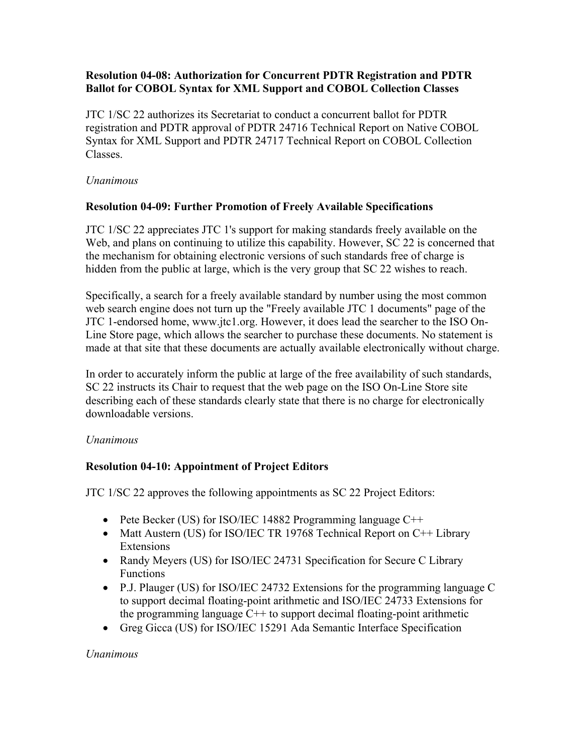### **Resolution 04-08: Authorization for Concurrent PDTR Registration and PDTR Ballot for COBOL Syntax for XML Support and COBOL Collection Classes**

JTC 1/SC 22 authorizes its Secretariat to conduct a concurrent ballot for PDTR registration and PDTR approval of PDTR 24716 Technical Report on Native COBOL Syntax for XML Support and PDTR 24717 Technical Report on COBOL Collection Classes.

### *Unanimous*

# **Resolution 04-09: Further Promotion of Freely Available Specifications**

JTC 1/SC 22 appreciates JTC 1's support for making standards freely available on the Web, and plans on continuing to utilize this capability. However, SC 22 is concerned that the mechanism for obtaining electronic versions of such standards free of charge is hidden from the public at large, which is the very group that SC 22 wishes to reach.

Specifically, a search for a freely available standard by number using the most common web search engine does not turn up the "Freely available JTC 1 documents" page of the JTC 1-endorsed home, www.jtc1.org. However, it does lead the searcher to the ISO On-Line Store page, which allows the searcher to purchase these documents. No statement is made at that site that these documents are actually available electronically without charge.

In order to accurately inform the public at large of the free availability of such standards, SC 22 instructs its Chair to request that the web page on the ISO On-Line Store site describing each of these standards clearly state that there is no charge for electronically downloadable versions.

# *Unanimous*

# **Resolution 04-10: Appointment of Project Editors**

JTC 1/SC 22 approves the following appointments as SC 22 Project Editors:

- Pete Becker (US) for ISO/IEC 14882 Programming language C++
- Matt Austern (US) for ISO/IEC TR 19768 Technical Report on C++ Library Extensions
- Randy Meyers (US) for ISO/IEC 24731 Specification for Secure C Library Functions
- P.J. Plauger (US) for ISO/IEC 24732 Extensions for the programming language C to support decimal floating-point arithmetic and ISO/IEC 24733 Extensions for the programming language  $C++$  to support decimal floating-point arithmetic
- Greg Gicca (US) for ISO/IEC 15291 Ada Semantic Interface Specification

# *Unanimous*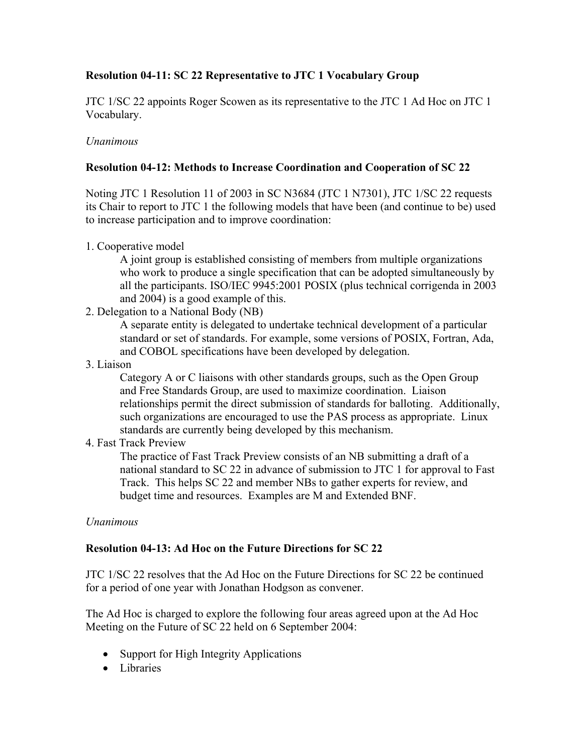# **Resolution 04-11: SC 22 Representative to JTC 1 Vocabulary Group**

JTC 1/SC 22 appoints Roger Scowen as its representative to the JTC 1 Ad Hoc on JTC 1 Vocabulary.

#### *Unanimous*

### **Resolution 04-12: Methods to Increase Coordination and Cooperation of SC 22**

Noting JTC 1 Resolution 11 of 2003 in SC N3684 (JTC 1 N7301), JTC 1/SC 22 requests its Chair to report to JTC 1 the following models that have been (and continue to be) used to increase participation and to improve coordination:

1. Cooperative model

A joint group is established consisting of members from multiple organizations who work to produce a single specification that can be adopted simultaneously by all the participants. ISO/IEC 9945:2001 POSIX (plus technical corrigenda in 2003 and 2004) is a good example of this.

2. Delegation to a National Body (NB)

A separate entity is delegated to undertake technical development of a particular standard or set of standards. For example, some versions of POSIX, Fortran, Ada, and COBOL specifications have been developed by delegation.

3. Liaison

Category A or C liaisons with other standards groups, such as the Open Group and Free Standards Group, are used to maximize coordination. Liaison relationships permit the direct submission of standards for balloting. Additionally, such organizations are encouraged to use the PAS process as appropriate. Linux standards are currently being developed by this mechanism.

4. Fast Track Preview

The practice of Fast Track Preview consists of an NB submitting a draft of a national standard to SC 22 in advance of submission to JTC 1 for approval to Fast Track. This helps SC 22 and member NBs to gather experts for review, and budget time and resources. Examples are M and Extended BNF.

#### *Unanimous*

# **Resolution 04-13: Ad Hoc on the Future Directions for SC 22**

JTC 1/SC 22 resolves that the Ad Hoc on the Future Directions for SC 22 be continued for a period of one year with Jonathan Hodgson as convener.

The Ad Hoc is charged to explore the following four areas agreed upon at the Ad Hoc Meeting on the Future of SC 22 held on 6 September 2004:

- Support for High Integrity Applications
- Libraries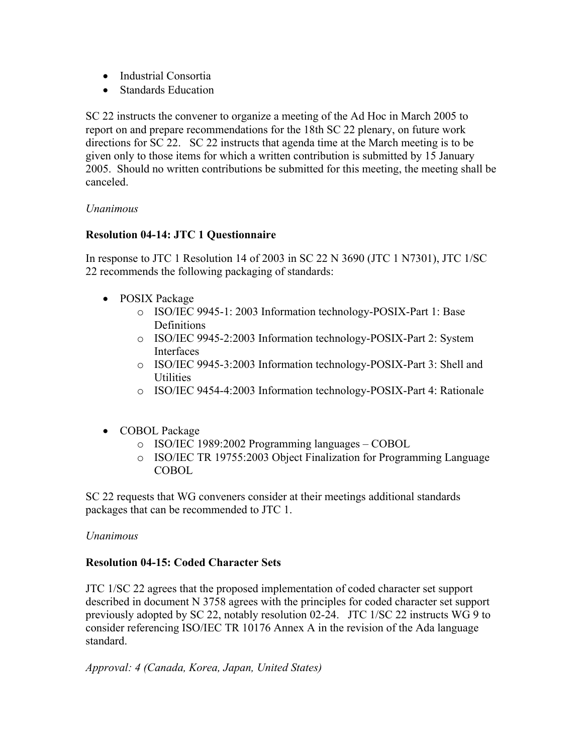- Industrial Consortia
- Standards Education

SC 22 instructs the convener to organize a meeting of the Ad Hoc in March 2005 to report on and prepare recommendations for the 18th SC 22 plenary, on future work directions for SC 22. SC 22 instructs that agenda time at the March meeting is to be given only to those items for which a written contribution is submitted by 15 January 2005. Should no written contributions be submitted for this meeting, the meeting shall be canceled.

### *Unanimous*

# **Resolution 04-14: JTC 1 Questionnaire**

In response to JTC 1 Resolution 14 of 2003 in SC 22 N 3690 (JTC 1 N7301), JTC 1/SC 22 recommends the following packaging of standards:

- POSIX Package
	- o ISO/IEC 9945-1: 2003 Information technology-POSIX-Part 1: Base Definitions
	- o ISO/IEC 9945-2:2003 Information technology-POSIX-Part 2: System Interfaces
	- o ISO/IEC 9945-3:2003 Information technology-POSIX-Part 3: Shell and Utilities
	- o ISO/IEC 9454-4:2003 Information technology-POSIX-Part 4: Rationale
- COBOL Package
	- o ISO/IEC 1989:2002 Programming languages COBOL
	- o ISO/IEC TR 19755:2003 Object Finalization for Programming Language **COBOL**

SC 22 requests that WG conveners consider at their meetings additional standards packages that can be recommended to JTC 1.

#### *Unanimous*

# **Resolution 04-15: Coded Character Sets**

JTC 1/SC 22 agrees that the proposed implementation of coded character set support described in document N 3758 agrees with the principles for coded character set support previously adopted by SC 22, notably resolution 02-24. JTC 1/SC 22 instructs WG 9 to consider referencing ISO/IEC TR 10176 Annex A in the revision of the Ada language standard.

*Approval: 4 (Canada, Korea, Japan, United States)*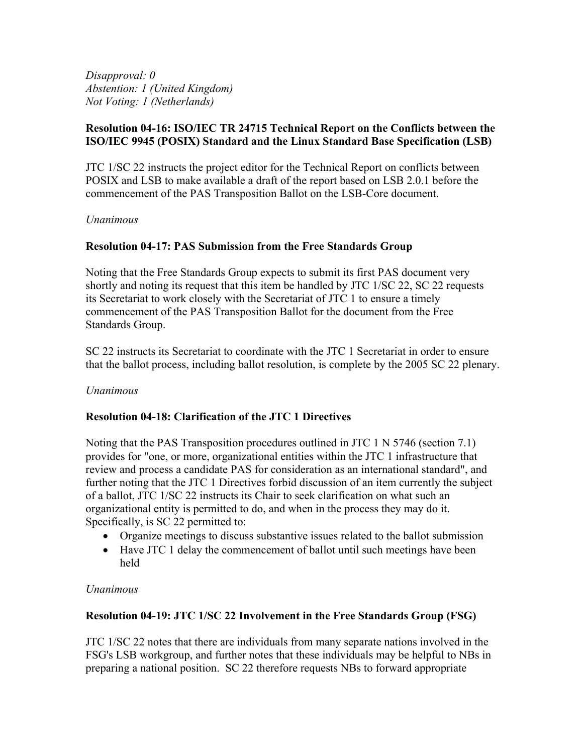*Disapproval: 0 Abstention: 1 (United Kingdom) Not Voting: 1 (Netherlands)* 

# **Resolution 04-16: ISO/IEC TR 24715 Technical Report on the Conflicts between the ISO/IEC 9945 (POSIX) Standard and the Linux Standard Base Specification (LSB)**

JTC 1/SC 22 instructs the project editor for the Technical Report on conflicts between POSIX and LSB to make available a draft of the report based on LSB 2.0.1 before the commencement of the PAS Transposition Ballot on the LSB-Core document.

### *Unanimous*

# **Resolution 04-17: PAS Submission from the Free Standards Group**

Noting that the Free Standards Group expects to submit its first PAS document very shortly and noting its request that this item be handled by JTC 1/SC 22, SC 22 requests its Secretariat to work closely with the Secretariat of JTC 1 to ensure a timely commencement of the PAS Transposition Ballot for the document from the Free Standards Group.

SC 22 instructs its Secretariat to coordinate with the JTC 1 Secretariat in order to ensure that the ballot process, including ballot resolution, is complete by the 2005 SC 22 plenary.

#### *Unanimous*

# **Resolution 04-18: Clarification of the JTC 1 Directives**

Noting that the PAS Transposition procedures outlined in JTC 1 N 5746 (section 7.1) provides for "one, or more, organizational entities within the JTC 1 infrastructure that review and process a candidate PAS for consideration as an international standard", and further noting that the JTC 1 Directives forbid discussion of an item currently the subject of a ballot, JTC 1/SC 22 instructs its Chair to seek clarification on what such an organizational entity is permitted to do, and when in the process they may do it. Specifically, is SC 22 permitted to:

- Organize meetings to discuss substantive issues related to the ballot submission
- Have JTC 1 delay the commencement of ballot until such meetings have been held

#### *Unanimous*

# **Resolution 04-19: JTC 1/SC 22 Involvement in the Free Standards Group (FSG)**

JTC 1/SC 22 notes that there are individuals from many separate nations involved in the FSG's LSB workgroup, and further notes that these individuals may be helpful to NBs in preparing a national position. SC 22 therefore requests NBs to forward appropriate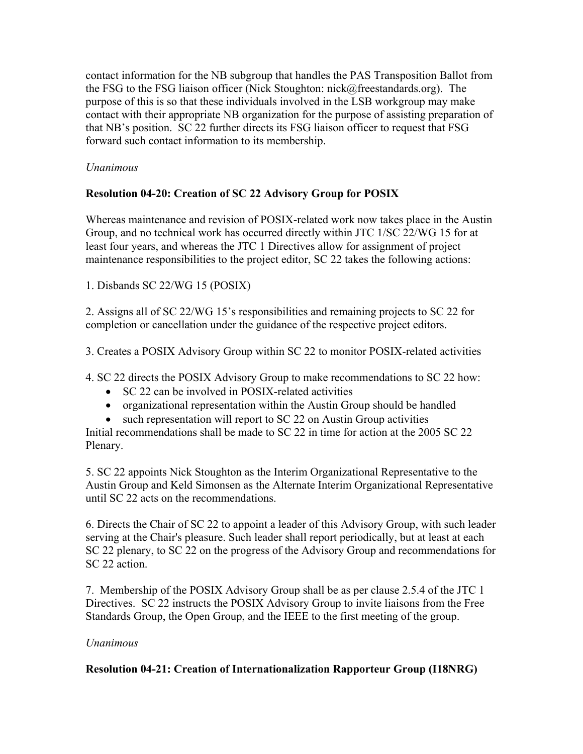contact information for the NB subgroup that handles the PAS Transposition Ballot from the FSG to the FSG liaison officer (Nick Stoughton: nick@freestandards.org). The purpose of this is so that these individuals involved in the LSB workgroup may make contact with their appropriate NB organization for the purpose of assisting preparation of that NB's position. SC 22 further directs its FSG liaison officer to request that FSG forward such contact information to its membership.

# *Unanimous*

# **Resolution 04-20: Creation of SC 22 Advisory Group for POSIX**

Whereas maintenance and revision of POSIX-related work now takes place in the Austin Group, and no technical work has occurred directly within JTC 1/SC 22/WG 15 for at least four years, and whereas the JTC 1 Directives allow for assignment of project maintenance responsibilities to the project editor, SC 22 takes the following actions:

1. Disbands SC 22/WG 15 (POSIX)

2. Assigns all of SC 22/WG 15's responsibilities and remaining projects to SC 22 for completion or cancellation under the guidance of the respective project editors.

3. Creates a POSIX Advisory Group within SC 22 to monitor POSIX-related activities

4. SC 22 directs the POSIX Advisory Group to make recommendations to SC 22 how:

- SC 22 can be involved in POSIX-related activities
- organizational representation within the Austin Group should be handled
- such representation will report to SC 22 on Austin Group activities

Initial recommendations shall be made to SC 22 in time for action at the 2005 SC 22 Plenary.

5. SC 22 appoints Nick Stoughton as the Interim Organizational Representative to the Austin Group and Keld Simonsen as the Alternate Interim Organizational Representative until SC 22 acts on the recommendations.

6. Directs the Chair of SC 22 to appoint a leader of this Advisory Group, with such leader serving at the Chair's pleasure. Such leader shall report periodically, but at least at each SC 22 plenary, to SC 22 on the progress of the Advisory Group and recommendations for SC 22 action.

7. Membership of the POSIX Advisory Group shall be as per clause 2.5.4 of the JTC 1 Directives. SC 22 instructs the POSIX Advisory Group to invite liaisons from the Free Standards Group, the Open Group, and the IEEE to the first meeting of the group.

# *Unanimous*

# **Resolution 04-21: Creation of Internationalization Rapporteur Group (I18NRG)**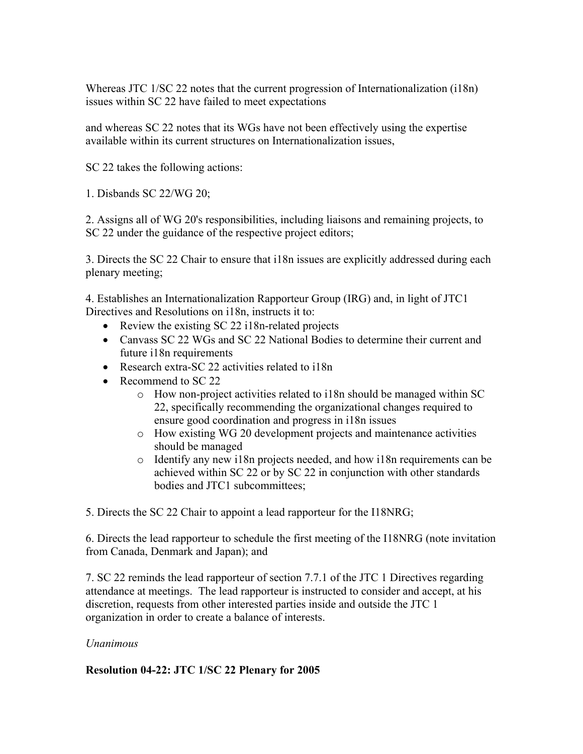Whereas JTC 1/SC 22 notes that the current progression of Internationalization (i18n) issues within SC 22 have failed to meet expectations

and whereas SC 22 notes that its WGs have not been effectively using the expertise available within its current structures on Internationalization issues,

SC 22 takes the following actions:

1. Disbands SC 22/WG 20;

2. Assigns all of WG 20's responsibilities, including liaisons and remaining projects, to SC 22 under the guidance of the respective project editors;

3. Directs the SC 22 Chair to ensure that i18n issues are explicitly addressed during each plenary meeting;

4. Establishes an Internationalization Rapporteur Group (IRG) and, in light of JTC1 Directives and Resolutions on i18n, instructs it to:

- Review the existing SC 22 i18n-related projects
- Canvass SC 22 WGs and SC 22 National Bodies to determine their current and future i18n requirements
- Research extra-SC 22 activities related to i18n
- Recommend to SC 22
	- $\circ$  How non-project activities related to i18n should be managed within SC 22, specifically recommending the organizational changes required to ensure good coordination and progress in i18n issues
	- o How existing WG 20 development projects and maintenance activities should be managed
	- o Identify any new i18n projects needed, and how i18n requirements can be achieved within SC 22 or by SC 22 in conjunction with other standards bodies and JTC1 subcommittees;

5. Directs the SC 22 Chair to appoint a lead rapporteur for the I18NRG;

6. Directs the lead rapporteur to schedule the first meeting of the I18NRG (note invitation from Canada, Denmark and Japan); and

7. SC 22 reminds the lead rapporteur of section 7.7.1 of the JTC 1 Directives regarding attendance at meetings. The lead rapporteur is instructed to consider and accept, at his discretion, requests from other interested parties inside and outside the JTC 1 organization in order to create a balance of interests.

# *Unanimous*

# **Resolution 04-22: JTC 1/SC 22 Plenary for 2005**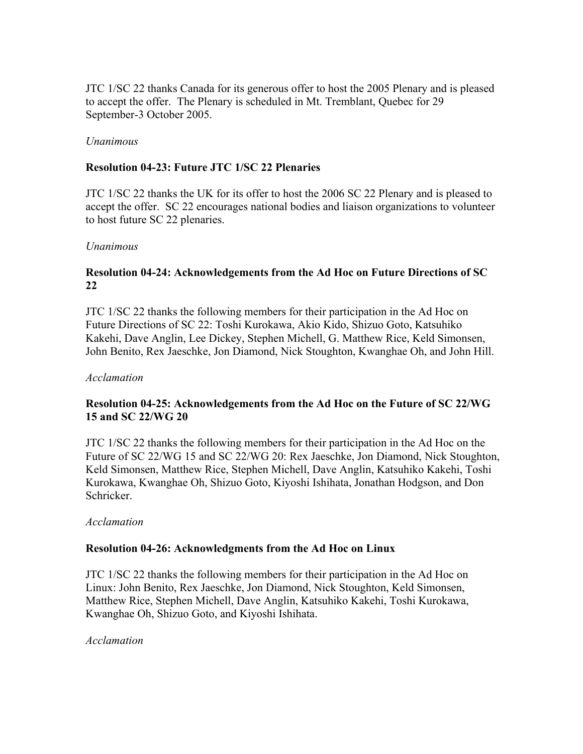JTC 1/SC 22 thanks Canada for its generous offer to host the 2005 Plenary and is pleased to accept the offer. The Plenary is scheduled in Mt. Tremblant, Quebec for 29 September-3 October 2005.

#### *Unanimous*

### **Resolution 04-23: Future JTC 1/SC 22 Plenaries**

JTC 1/SC 22 thanks the UK for its offer to host the 2006 SC 22 Plenary and is pleased to accept the offer. SC 22 encourages national bodies and liaison organizations to volunteer to host future SC 22 plenaries.

#### *Unanimous*

### **Resolution 04-24: Acknowledgements from the Ad Hoc on Future Directions of SC 22**

JTC 1/SC 22 thanks the following members for their participation in the Ad Hoc on Future Directions of SC 22: Toshi Kurokawa, Akio Kido, Shizuo Goto, Katsuhiko Kakehi, Dave Anglin, Lee Dickey, Stephen Michell, G. Matthew Rice, Keld Simonsen, John Benito, Rex Jaeschke, Jon Diamond, Nick Stoughton, Kwanghae Oh, and John Hill.

#### *Acclamation*

# **Resolution 04-25: Acknowledgements from the Ad Hoc on the Future of SC 22/WG 15 and SC 22/WG 20**

JTC 1/SC 22 thanks the following members for their participation in the Ad Hoc on the Future of SC 22/WG 15 and SC 22/WG 20: Rex Jaeschke, Jon Diamond, Nick Stoughton, Keld Simonsen, Matthew Rice, Stephen Michell, Dave Anglin, Katsuhiko Kakehi, Toshi Kurokawa, Kwanghae Oh, Shizuo Goto, Kiyoshi Ishihata, Jonathan Hodgson, and Don Schricker.

#### *Acclamation*

#### **Resolution 04-26: Acknowledgments from the Ad Hoc on Linux**

JTC 1/SC 22 thanks the following members for their participation in the Ad Hoc on Linux: John Benito, Rex Jaeschke, Jon Diamond, Nick Stoughton, Keld Simonsen, Matthew Rice, Stephen Michell, Dave Anglin, Katsuhiko Kakehi, Toshi Kurokawa, Kwanghae Oh, Shizuo Goto, and Kiyoshi Ishihata.

#### *Acclamation*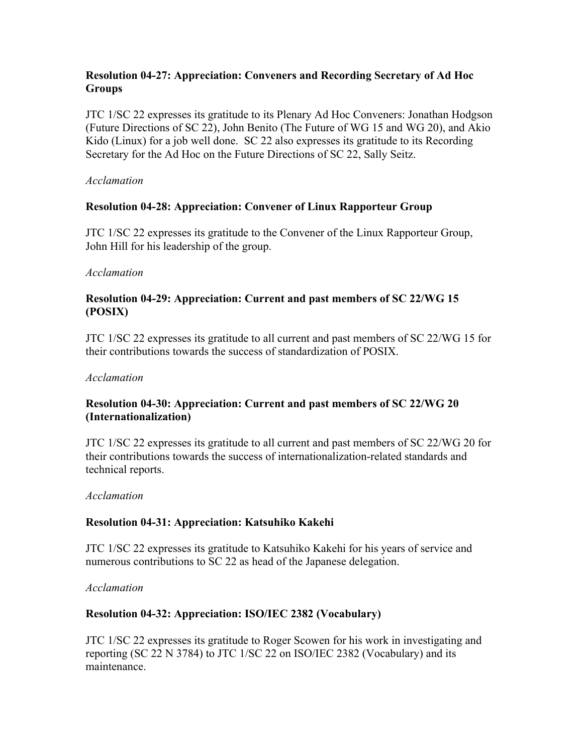# **Resolution 04-27: Appreciation: Conveners and Recording Secretary of Ad Hoc Groups**

JTC 1/SC 22 expresses its gratitude to its Plenary Ad Hoc Conveners: Jonathan Hodgson (Future Directions of SC 22), John Benito (The Future of WG 15 and WG 20), and Akio Kido (Linux) for a job well done. SC 22 also expresses its gratitude to its Recording Secretary for the Ad Hoc on the Future Directions of SC 22, Sally Seitz.

#### *Acclamation*

### **Resolution 04-28: Appreciation: Convener of Linux Rapporteur Group**

JTC 1/SC 22 expresses its gratitude to the Convener of the Linux Rapporteur Group, John Hill for his leadership of the group.

#### *Acclamation*

### **Resolution 04-29: Appreciation: Current and past members of SC 22/WG 15 (POSIX)**

JTC 1/SC 22 expresses its gratitude to all current and past members of SC 22/WG 15 for their contributions towards the success of standardization of POSIX.

#### *Acclamation*

### **Resolution 04-30: Appreciation: Current and past members of SC 22/WG 20 (Internationalization)**

JTC 1/SC 22 expresses its gratitude to all current and past members of SC 22/WG 20 for their contributions towards the success of internationalization-related standards and technical reports.

#### *Acclamation*

#### **Resolution 04-31: Appreciation: Katsuhiko Kakehi**

JTC 1/SC 22 expresses its gratitude to Katsuhiko Kakehi for his years of service and numerous contributions to SC 22 as head of the Japanese delegation.

#### *Acclamation*

#### **Resolution 04-32: Appreciation: ISO/IEC 2382 (Vocabulary)**

JTC 1/SC 22 expresses its gratitude to Roger Scowen for his work in investigating and reporting (SC 22 N 3784) to JTC 1/SC 22 on ISO/IEC 2382 (Vocabulary) and its maintenance.